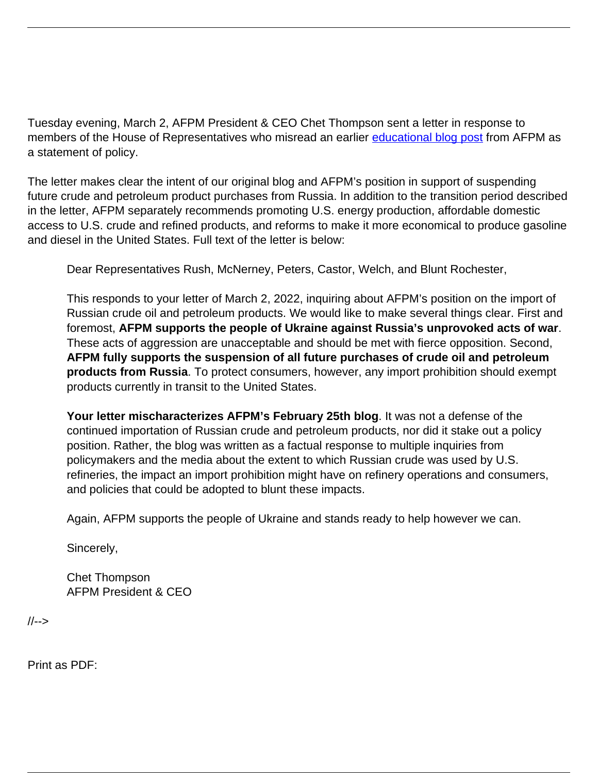Tuesday evening, March 2, AFPM President & CEO Chet Thompson sent a letter in response to members of the House of Representatives who misread an earlier [educational blog post](https://www.afpm.org/newsroom/blog/oil-and-petroleum-imports-russia-explained) from AFPM as a statement of policy.

The letter makes clear the intent of our original blog and AFPM's position in support of suspending future crude and petroleum product purchases from Russia. In addition to the transition period described in the letter, AFPM separately recommends promoting U.S. energy production, affordable domestic access to U.S. crude and refined products, and reforms to make it more economical to produce gasoline and diesel in the United States. Full text of the letter is below:

Dear Representatives Rush, McNerney, Peters, Castor, Welch, and Blunt Rochester,

This responds to your letter of March 2, 2022, inquiring about AFPM's position on the import of Russian crude oil and petroleum products. We would like to make several things clear. First and foremost, **AFPM supports the people of Ukraine against Russia's unprovoked acts of war**. These acts of aggression are unacceptable and should be met with fierce opposition. Second, **AFPM fully supports the suspension of all future purchases of crude oil and petroleum products from Russia**. To protect consumers, however, any import prohibition should exempt products currently in transit to the United States.

**Your letter mischaracterizes AFPM's February 25th blog**. It was not a defense of the continued importation of Russian crude and petroleum products, nor did it stake out a policy position. Rather, the blog was written as a factual response to multiple inquiries from policymakers and the media about the extent to which Russian crude was used by U.S. refineries, the impact an import prohibition might have on refinery operations and consumers, and policies that could be adopted to blunt these impacts.

Again, AFPM supports the people of Ukraine and stands ready to help however we can.

Sincerely,

Chet Thompson AFPM President & CEO

//-->

Print as PDF: